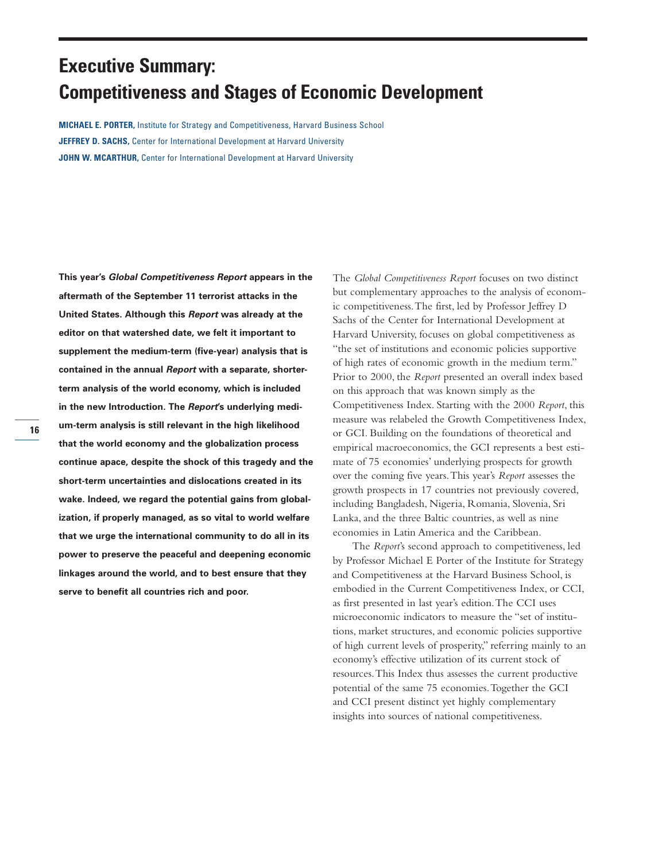# **Executive Summary: Competitiveness and Stages of Economic Development**

**MICHAEL E. PORTER,** Institute for Strategy and Competitiveness, Harvard Business School **JEFFREY D. SACHS,** Center for International Development at Harvard University **JOHN W. MCARTHUR,** Center for International Development at Harvard University

**This year's** *Global Competitiveness Report* **appears in the aftermath of the September 11 terrorist attacks in the United States. Although this** *Report* **was already at the editor on that watershed date, we felt it important to supplement the medium-term (five-year) analysis that is contained in the annual** *Report* **with a separate, shorterterm analysis of the world economy, which is included in the new Introduction. The** *Report***'s underlying medium-term analysis is still relevant in the high likelihood that the world economy and the globalization process continue apace, despite the shock of this tragedy and the short-term uncertainties and dislocations created in its wake. Indeed, we regard the potential gains from globalization, if properly managed, as so vital to world welfare that we urge the international community to do all in its power to preserve the peaceful and deepening economic linkages around the world, and to best ensure that they serve to benefit all countries rich and poor.**

The *Global Competitiveness Report* focuses on two distinct but complementary approaches to the analysis of economic competitiveness.The first, led by Professor Jeffrey D Sachs of the Center for International Development at Harvard University, focuses on global competitiveness as "the set of institutions and economic policies supportive of high rates of economic growth in the medium term." Prior to 2000, the *Report* presented an overall index based on this approach that was known simply as the Competitiveness Index. Starting with the 2000 *Report*, this measure was relabeled the Growth Competitiveness Index, or GCI. Building on the foundations of theoretical and empirical macroeconomics, the GCI represents a best estimate of 75 economies' underlying prospects for growth over the coming five years.This year's *Report* assesses the growth prospects in 17 countries not previously covered, including Bangladesh, Nigeria, Romania, Slovenia, Sri Lanka, and the three Baltic countries, as well as nine economies in Latin America and the Caribbean.

The *Report*'s second approach to competitiveness, led by Professor Michael E Porter of the Institute for Strategy and Competitiveness at the Harvard Business School, is embodied in the Current Competitiveness Index, or CCI, as first presented in last year's edition.The CCI uses microeconomic indicators to measure the "set of institutions, market structures, and economic policies supportive of high current levels of prosperity," referring mainly to an economy's effective utilization of its current stock of resources.This Index thus assesses the current productive potential of the same 75 economies.Together the GCI and CCI present distinct yet highly complementary insights into sources of national competitiveness.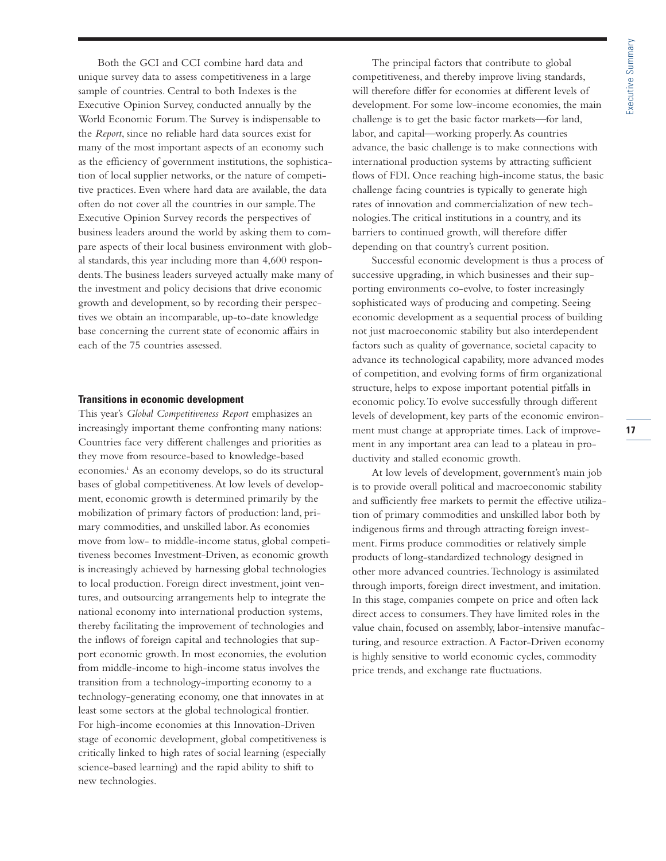Both the GCI and CCI combine hard data and unique survey data to assess competitiveness in a large sample of countries. Central to both Indexes is the Executive Opinion Survey, conducted annually by the World Economic Forum.The Survey is indispensable to the *Report*, since no reliable hard data sources exist for many of the most important aspects of an economy such as the efficiency of government institutions, the sophistication of local supplier networks, or the nature of competitive practices. Even where hard data are available, the data often do not cover all the countries in our sample.The Executive Opinion Survey records the perspectives of business leaders around the world by asking them to compare aspects of their local business environment with global standards, this year including more than 4,600 respondents.The business leaders surveyed actually make many of the investment and policy decisions that drive economic growth and development, so by recording their perspectives we obtain an incomparable, up-to-date knowledge base concerning the current state of economic affairs in each of the 75 countries assessed.

## **Transitions in economic development**

This year's *Global Competitiveness Report* emphasizes an increasingly important theme confronting many nations: Countries face very different challenges and priorities as they move from resource-based to knowledge-based economies.i As an economy develops, so do its structural bases of global competitiveness.At low levels of development, economic growth is determined primarily by the mobilization of primary factors of production: land, primary commodities, and unskilled labor.As economies move from low- to middle-income status, global competitiveness becomes Investment-Driven, as economic growth is increasingly achieved by harnessing global technologies to local production. Foreign direct investment, joint ventures, and outsourcing arrangements help to integrate the national economy into international production systems, thereby facilitating the improvement of technologies and the inflows of foreign capital and technologies that support economic growth. In most economies, the evolution from middle-income to high-income status involves the transition from a technology-importing economy to a technology-generating economy, one that innovates in at least some sectors at the global technological frontier. For high-income economies at this Innovation-Driven stage of economic development, global competitiveness is critically linked to high rates of social learning (especially science-based learning) and the rapid ability to shift to new technologies.

The principal factors that contribute to global competitiveness, and thereby improve living standards, will therefore differ for economies at different levels of development. For some low-income economies, the main challenge is to get the basic factor markets—for land, labor, and capital—working properly.As countries advance, the basic challenge is to make connections with international production systems by attracting sufficient flows of FDI. Once reaching high-income status, the basic challenge facing countries is typically to generate high rates of innovation and commercialization of new technologies.The critical institutions in a country, and its barriers to continued growth, will therefore differ depending on that country's current position.

Successful economic development is thus a process of successive upgrading, in which businesses and their supporting environments co-evolve, to foster increasingly sophisticated ways of producing and competing. Seeing economic development as a sequential process of building not just macroeconomic stability but also interdependent factors such as quality of governance, societal capacity to advance its technological capability, more advanced modes of competition, and evolving forms of firm organizational structure, helps to expose important potential pitfalls in economic policy.To evolve successfully through different levels of development, key parts of the economic environment must change at appropriate times. Lack of improvement in any important area can lead to a plateau in productivity and stalled economic growth.

At low levels of development, government's main job is to provide overall political and macroeconomic stability and sufficiently free markets to permit the effective utilization of primary commodities and unskilled labor both by indigenous firms and through attracting foreign investment. Firms produce commodities or relatively simple products of long-standardized technology designed in other more advanced countries.Technology is assimilated through imports, foreign direct investment, and imitation. In this stage, companies compete on price and often lack direct access to consumers.They have limited roles in the value chain, focused on assembly, labor-intensive manufacturing, and resource extraction.A Factor-Driven economy is highly sensitive to world economic cycles, commodity price trends, and exchange rate fluctuations.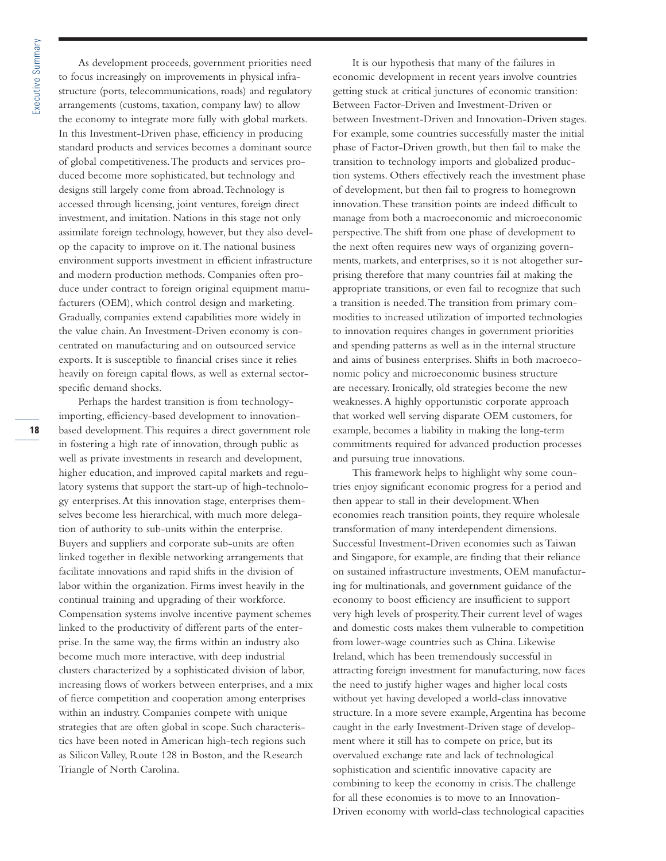As development proceeds, government priorities need to focus increasingly on improvements in physical infrastructure (ports, telecommunications, roads) and regulatory arrangements (customs, taxation, company law) to allow the economy to integrate more fully with global markets. In this Investment-Driven phase, efficiency in producing standard products and services becomes a dominant source of global competitiveness.The products and services produced become more sophisticated, but technology and designs still largely come from abroad.Technology is accessed through licensing, joint ventures, foreign direct investment, and imitation. Nations in this stage not only assimilate foreign technology, however, but they also develop the capacity to improve on it.The national business environment supports investment in efficient infrastructure and modern production methods. Companies often produce under contract to foreign original equipment manufacturers (OEM), which control design and marketing. Gradually, companies extend capabilities more widely in the value chain.An Investment-Driven economy is concentrated on manufacturing and on outsourced service exports. It is susceptible to financial crises since it relies heavily on foreign capital flows, as well as external sectorspecific demand shocks.

Perhaps the hardest transition is from technologyimporting, efficiency-based development to innovationbased development.This requires a direct government role in fostering a high rate of innovation, through public as well as private investments in research and development, higher education, and improved capital markets and regulatory systems that support the start-up of high-technology enterprises.At this innovation stage, enterprises themselves become less hierarchical, with much more delegation of authority to sub-units within the enterprise. Buyers and suppliers and corporate sub-units are often linked together in flexible networking arrangements that facilitate innovations and rapid shifts in the division of labor within the organization. Firms invest heavily in the continual training and upgrading of their workforce. Compensation systems involve incentive payment schemes linked to the productivity of different parts of the enterprise. In the same way, the firms within an industry also become much more interactive, with deep industrial clusters characterized by a sophisticated division of labor, increasing flows of workers between enterprises, and a mix of fierce competition and cooperation among enterprises within an industry. Companies compete with unique strategies that are often global in scope. Such characteristics have been noted in American high-tech regions such as Silicon Valley, Route 128 in Boston, and the Research Triangle of North Carolina.

It is our hypothesis that many of the failures in economic development in recent years involve countries getting stuck at critical junctures of economic transition: Between Factor-Driven and Investment-Driven or between Investment-Driven and Innovation-Driven stages. For example, some countries successfully master the initial phase of Factor-Driven growth, but then fail to make the transition to technology imports and globalized production systems. Others effectively reach the investment phase of development, but then fail to progress to homegrown innovation.These transition points are indeed difficult to manage from both a macroeconomic and microeconomic perspective.The shift from one phase of development to the next often requires new ways of organizing governments, markets, and enterprises, so it is not altogether surprising therefore that many countries fail at making the appropriate transitions, or even fail to recognize that such a transition is needed.The transition from primary commodities to increased utilization of imported technologies to innovation requires changes in government priorities and spending patterns as well as in the internal structure and aims of business enterprises. Shifts in both macroeconomic policy and microeconomic business structure are necessary. Ironically, old strategies become the new weaknesses.A highly opportunistic corporate approach that worked well serving disparate OEM customers, for example, becomes a liability in making the long-term commitments required for advanced production processes and pursuing true innovations.

This framework helps to highlight why some countries enjoy significant economic progress for a period and then appear to stall in their development.When economies reach transition points, they require wholesale transformation of many interdependent dimensions. Successful Investment-Driven economies such as Taiwan and Singapore, for example, are finding that their reliance on sustained infrastructure investments, OEM manufacturing for multinationals, and government guidance of the economy to boost efficiency are insufficient to support very high levels of prosperity.Their current level of wages and domestic costs makes them vulnerable to competition from lower-wage countries such as China. Likewise Ireland, which has been tremendously successful in attracting foreign investment for manufacturing, now faces the need to justify higher wages and higher local costs without yet having developed a world-class innovative structure. In a more severe example,Argentina has become caught in the early Investment-Driven stage of development where it still has to compete on price, but its overvalued exchange rate and lack of technological sophistication and scientific innovative capacity are combining to keep the economy in crisis.The challenge for all these economies is to move to an Innovation-Driven economy with world-class technological capacities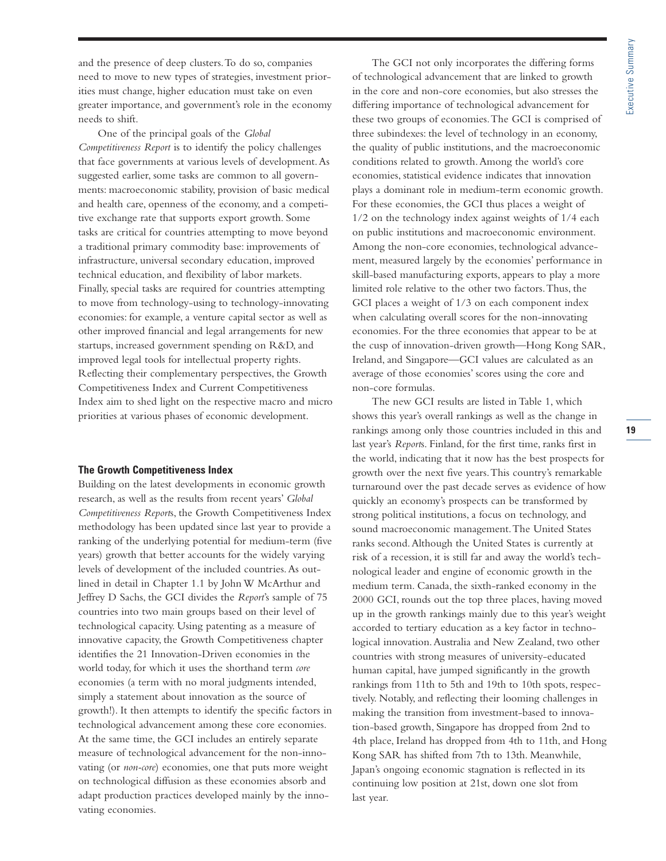and the presence of deep clusters.To do so, companies need to move to new types of strategies, investment priorities must change, higher education must take on even greater importance, and government's role in the economy needs to shift.

One of the principal goals of the *Global Competitiveness Report* is to identify the policy challenges that face governments at various levels of development.As suggested earlier, some tasks are common to all governments: macroeconomic stability, provision of basic medical and health care, openness of the economy, and a competitive exchange rate that supports export growth. Some tasks are critical for countries attempting to move beyond a traditional primary commodity base: improvements of infrastructure, universal secondary education, improved technical education, and flexibility of labor markets. Finally, special tasks are required for countries attempting to move from technology-using to technology-innovating economies: for example, a venture capital sector as well as other improved financial and legal arrangements for new startups, increased government spending on R&D, and improved legal tools for intellectual property rights. Reflecting their complementary perspectives, the Growth Competitiveness Index and Current Competitiveness Index aim to shed light on the respective macro and micro priorities at various phases of economic development.

#### **The Growth Competitiveness Index**

Building on the latest developments in economic growth research, as well as the results from recent years' *Global Competitiveness Report*s, the Growth Competitiveness Index methodology has been updated since last year to provide a ranking of the underlying potential for medium-term (five years) growth that better accounts for the widely varying levels of development of the included countries.As outlined in detail in Chapter 1.1 by John W McArthur and Jeffrey D Sachs, the GCI divides the *Report*'s sample of 75 countries into two main groups based on their level of technological capacity. Using patenting as a measure of innovative capacity, the Growth Competitiveness chapter identifies the 21 Innovation-Driven economies in the world today, for which it uses the shorthand term *core* economies (a term with no moral judgments intended, simply a statement about innovation as the source of growth!). It then attempts to identify the specific factors in technological advancement among these core economies. At the same time, the GCI includes an entirely separate measure of technological advancement for the non-innovating (or *non-core*) economies, one that puts more weight on technological diffusion as these economies absorb and adapt production practices developed mainly by the innovating economies.

The GCI not only incorporates the differing forms of technological advancement that are linked to growth in the core and non-core economies, but also stresses the differing importance of technological advancement for these two groups of economies.The GCI is comprised of three subindexes: the level of technology in an economy, the quality of public institutions, and the macroeconomic conditions related to growth.Among the world's core economies, statistical evidence indicates that innovation plays a dominant role in medium-term economic growth. For these economies, the GCI thus places a weight of 1/2 on the technology index against weights of 1/4 each on public institutions and macroeconomic environment. Among the non-core economies, technological advancement, measured largely by the economies' performance in skill-based manufacturing exports, appears to play a more limited role relative to the other two factors.Thus, the GCI places a weight of  $1/3$  on each component index when calculating overall scores for the non-innovating economies. For the three economies that appear to be at the cusp of innovation-driven growth—Hong Kong SAR, Ireland, and Singapore—GCI values are calculated as an average of those economies' scores using the core and non-core formulas.

The new GCI results are listed in Table 1, which shows this year's overall rankings as well as the change in rankings among only those countries included in this and last year's *Report*s. Finland, for the first time, ranks first in the world, indicating that it now has the best prospects for growth over the next five years.This country's remarkable turnaround over the past decade serves as evidence of how quickly an economy's prospects can be transformed by strong political institutions, a focus on technology, and sound macroeconomic management.The United States ranks second.Although the United States is currently at risk of a recession, it is still far and away the world's technological leader and engine of economic growth in the medium term. Canada, the sixth-ranked economy in the 2000 GCI, rounds out the top three places, having moved up in the growth rankings mainly due to this year's weight accorded to tertiary education as a key factor in technological innovation.Australia and New Zealand, two other countries with strong measures of university-educated human capital, have jumped significantly in the growth rankings from 11th to 5th and 19th to 10th spots, respectively. Notably, and reflecting their looming challenges in making the transition from investment-based to innovation-based growth, Singapore has dropped from 2nd to 4th place, Ireland has dropped from 4th to 11th, and Hong Kong SAR has shifted from 7th to 13th. Meanwhile, Japan's ongoing economic stagnation is reflected in its continuing low position at 21st, down one slot from last year.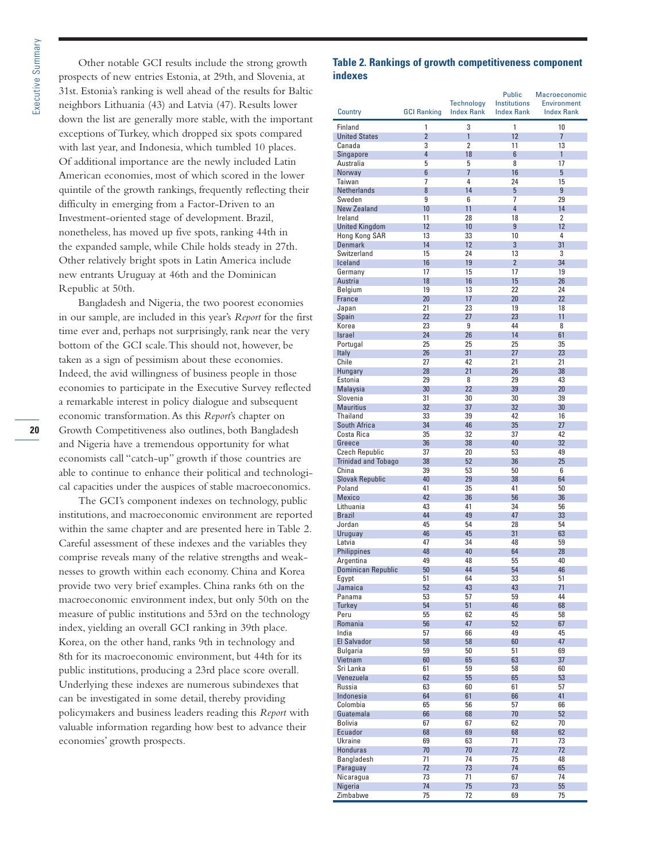Other notable GCI results include the strong growth prospects of new entries Estonia, at 29th, and Slovenia, at 31st. Estonia's ranking is well ahead of the results for Baltic neighbors Lithuania (43) and Latvia (47). Results lower down the list are generally more stable, with the important exceptions of Turkey, which dropped six spots compared with last year, and Indonesia, which tumbled 10 places. Of additional importance are the newly included Latin American economies, most of which scored in the lower quintile of the growth rankings, frequently reflecting their difficulty in emerging from a Factor-Driven to an Investment-oriented stage of development. Brazil, nonetheless, has moved up five spots, ranking 44th in the expanded sample, while Chile holds steady in 27th. Other relatively bright spots in Latin America include new entrants Uruguay at 46th and the Dominican Republic at 50th.

Bangladesh and Nigeria, the two poorest economies in our sample, are included in this year's *Report* for the first time ever and, perhaps not surprisingly, rank near the very bottom of the GCI scale.This should not, however, be taken as a sign of pessimism about these economies. Indeed, the avid willingness of business people in those economies to participate in the Executive Survey reflected a remarkable interest in policy dialogue and subsequent economic transformation.As this *Report*'s chapter on Growth Competitiveness also outlines, both Bangladesh and Nigeria have a tremendous opportunity for what economists call "catch-up" growth if those countries are able to continue to enhance their political and technological capacities under the auspices of stable macroeconomics.

The GCI's component indexes on technology, public institutions, and macroeconomic environment are reported within the same chapter and are presented here in Table 2. Careful assessment of these indexes and the variables they comprise reveals many of the relative strengths and weaknesses to growth within each economy. China and Korea provide two very brief examples. China ranks 6th on the macroeconomic environment index, but only 50th on the measure of public institutions and 53rd on the technology index, yielding an overall GCI ranking in 39th place. Korea, on the other hand, ranks 9th in technology and 8th for its macroeconomic environment, but 44th for its public institutions, producing a 23rd place score overall. Underlying these indexes are numerous subindexes that can be investigated in some detail, thereby providing policymakers and business leaders reading this *Report* with valuable information regarding how best to advance their economies' growth prospects.

## **Table 2. Rankings of growth competitiveness component indexes**

I

I I

| Country                          | <b>GCI Ranking</b> | <b>Technology</b><br><b>Index Rank</b> | <b>Public</b><br><b>Institutions</b><br><b>Index Rank</b> | Macroeconomic<br><b>Environment</b><br><b>Index Rank</b> |
|----------------------------------|--------------------|----------------------------------------|-----------------------------------------------------------|----------------------------------------------------------|
| Finland                          | 1                  | 3                                      | 1                                                         | 10                                                       |
| <b>United States</b>             | $\overline{2}$     | 1                                      | 12                                                        | $\overline{7}$                                           |
| Canada                           | 3                  | $\overline{2}$                         | 11                                                        | 13                                                       |
| <b>Singapore</b><br>Australia    | 4<br>5             | 18<br>5                                | 6<br>8                                                    | $\mathbf{1}$<br>17                                       |
| Norway                           | 6                  | $\overline{1}$                         | 16                                                        | 5                                                        |
| Taiwan                           | 7                  | 4                                      | 24                                                        | 15                                                       |
| Netherlands                      | 8                  | 14                                     | 5                                                         | 9                                                        |
| Sweden                           | 9                  | 6                                      | 7                                                         | 29                                                       |
| <b>New Zealand</b>               | 10                 | 11<br>28                               | 4                                                         | 14                                                       |
| Ireland<br><b>United Kingdom</b> | 11<br>12           | 10                                     | 18<br>$\overline{9}$                                      | $\overline{2}$<br>12                                     |
| Hong Kong SAR                    | 13                 | 33                                     | 10                                                        | 4                                                        |
| <b>Denmark</b>                   | 14                 | 12                                     | 3                                                         | 31                                                       |
| Switzerland                      | 15                 | 24                                     | 13                                                        | 3                                                        |
| Iceland                          | 16                 | 19                                     | $\overline{2}$                                            | 34                                                       |
| Germany                          | 17                 | 15                                     | 17                                                        | 19                                                       |
| Austria<br>Belgium               | 18<br>19           | 16<br>13                               | 15<br>22                                                  | 26<br>24                                                 |
| France                           | 20                 | 17                                     | 20                                                        | 22                                                       |
| Japan                            | 21                 | 23                                     | 19                                                        | 18                                                       |
| Spain                            | 22                 | 27                                     | 23                                                        | 11                                                       |
| Korea                            | 23                 | 9                                      | 44                                                        | 8                                                        |
| <b>Israel</b>                    | 24                 | 26                                     | 14                                                        | 61                                                       |
| Portugal<br><b>Italy</b>         | 25<br>26           | 25<br>31                               | 25<br>27                                                  | 35<br>23                                                 |
| Chile                            | 27                 | 42                                     | 21                                                        | 21                                                       |
| Hungary                          | 28                 | 21                                     | 26                                                        | 38                                                       |
| Estonia                          | 29                 | 8                                      | 29                                                        | 43                                                       |
| Malaysia                         | 30                 | 22                                     | 39                                                        | 20                                                       |
| Slovenia                         | 31                 | 30                                     | 30                                                        | 39                                                       |
| <b>Mauritius</b><br>Thailand     | 32<br>33           | 37<br>39                               | 32<br>42                                                  | 30<br>16                                                 |
| South Africa                     | 34                 | 46                                     | 35                                                        | 27                                                       |
| Costa Rica                       | 35                 | 32                                     | 37                                                        | 42                                                       |
| Greece                           | 36                 | 38                                     | 40                                                        | 32                                                       |
| Czech Republic                   | 37                 | 20                                     | 53                                                        | 49                                                       |
| <b>Trinidad and Tobago</b>       | 38                 | 52                                     | 36                                                        | 25                                                       |
| China<br><b>Slovak Republic</b>  | 39<br>40           | 53<br>29                               | 50<br>38                                                  | 6<br>64                                                  |
| Poland                           | 41                 | 35                                     | 41                                                        | 50                                                       |
| <b>Mexico</b>                    | 42                 | 36                                     | 56                                                        | 36                                                       |
| Lithuania                        | 43                 | 41                                     | 34                                                        | 56                                                       |
| <b>Brazil</b>                    | 44                 | 49                                     | 47                                                        | 33                                                       |
| Jordan                           | 45<br>46           | 54<br>45                               | 28<br>31                                                  | 54                                                       |
| Uruguay<br>Latvia                | 47                 | 34                                     | 48                                                        | 63<br>59                                                 |
| <b>Philippines</b>               | 48                 | 40                                     | 64                                                        | 28                                                       |
| Argentina                        | 49                 | 48                                     | 55                                                        | 40                                                       |
| Dominican Republic               | 50                 | 44                                     | 54                                                        | 46                                                       |
| Egypt                            | 51                 | 64                                     | 33                                                        | 51                                                       |
| Jamaica<br>Panama                | 52<br>53           | 43<br>57                               | 43<br>59                                                  | 71<br>44                                                 |
| <b>Turkey</b>                    | 54                 | 51                                     | 46                                                        | 68                                                       |
| Peru                             | 55                 | 62                                     | 45                                                        | 58                                                       |
| Romania                          | 56                 | 47                                     | 52                                                        | 67                                                       |
| India                            | 57                 | 66                                     | 49                                                        | 45                                                       |
| El Salvador                      | 58                 | 58                                     | 60                                                        | 47                                                       |
| <b>Bulgaria</b><br>Vietnam       | 59<br>60           | 50<br>65                               | 51<br>63                                                  | 69<br>37                                                 |
| Sri Lanka                        | 61                 | 59                                     | 58                                                        | 60                                                       |
| Venezuela                        | 62                 | 55                                     | 65                                                        | 53                                                       |
| Russia                           | 63                 | 60                                     | 61                                                        | 57                                                       |
| Indonesia                        | 64                 | 61                                     | 66                                                        | 41                                                       |
| Colombia                         | 65                 | 56                                     | 57                                                        | 66                                                       |
| Guatemala<br><b>Bolivia</b>      | 66<br>67           | 68<br>67                               | 70<br>62                                                  | 52<br>70                                                 |
| Ecuador                          | 68                 | 69                                     | 68                                                        | 62                                                       |
| Ukraine                          | 69                 | 63                                     | 71                                                        | 73                                                       |
| <b>Honduras</b>                  | 70                 | 70                                     | 72                                                        | 72                                                       |
| Bangladesh                       | 71                 | 74                                     | 75                                                        | 48                                                       |
| Paraguay                         | 72                 | 73                                     | 74                                                        | 65                                                       |
| Nicaragua<br>Nigeria             | 73<br>74           | 71<br>75                               | 67<br>73                                                  | 74<br>55                                                 |
| Zimbabwe                         | 75                 | 72                                     | 69                                                        | 75                                                       |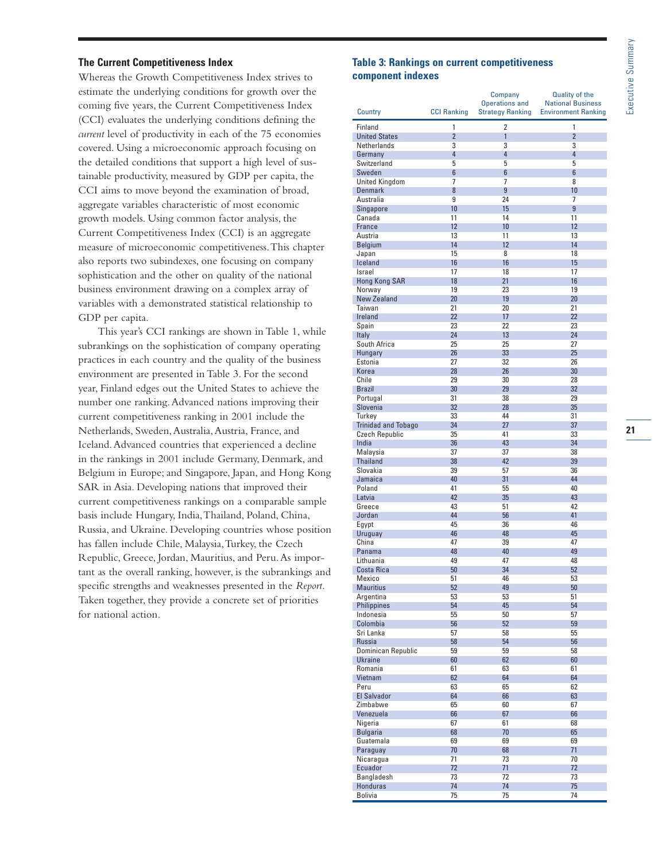## **The Current Competitiveness Index**

Whereas the Growth Competitiveness Index strives to estimate the underlying conditions for growth over the coming five years, the Current Competitiveness Index (CCI) evaluates the underlying conditions defining the *current* level of productivity in each of the 75 economies covered. Using a microeconomic approach focusing on the detailed conditions that support a high level of sustainable productivity, measured by GDP per capita, the CCI aims to move beyond the examination of broad, aggregate variables characteristic of most economic growth models. Using common factor analysis, the Current Competitiveness Index (CCI) is an aggregate measure of microeconomic competitiveness.This chapter also reports two subindexes, one focusing on company sophistication and the other on quality of the national business environment drawing on a complex array of variables with a demonstrated statistical relationship to GDP per capita.

This year's CCI rankings are shown in Table 1, while subrankings on the sophistication of company operating practices in each country and the quality of the business environment are presented in Table 3. For the second year, Finland edges out the United States to achieve the number one ranking.Advanced nations improving their current competitiveness ranking in 2001 include the Netherlands, Sweden,Australia,Austria, France, and Iceland.Advanced countries that experienced a decline in the rankings in 2001 include Germany, Denmark, and Belgium in Europe; and Singapore, Japan, and Hong Kong SAR in Asia. Developing nations that improved their current competitiveness rankings on a comparable sample basis include Hungary, India,Thailand, Poland, China, Russia, and Ukraine. Developing countries whose position has fallen include Chile, Malaysia,Turkey, the Czech Republic, Greece, Jordan, Mauritius, and Peru.As important as the overall ranking, however, is the subrankings and specific strengths and weaknesses presented in the *Report*. Taken together, they provide a concrete set of priorities for national action.

## **Table 3: Rankings on current competitiveness component indexes**

|                                      |                     | Company                                   | <b>Quality of the</b><br><b>National Business</b> |
|--------------------------------------|---------------------|-------------------------------------------|---------------------------------------------------|
| <b>Country</b>                       | <b>CCI Ranking</b>  | Operations and<br><b>Strategy Ranking</b> | <b>Environment Ranking</b>                        |
| Finland                              | 1                   | 2                                         | 1                                                 |
| <b>United States</b>                 | $\overline{2}$<br>3 | 1<br>3                                    | $\overline{2}$<br>3                               |
| Netherlands<br>Germany               | 4                   | $\overline{4}$                            | 4                                                 |
| Switzerland                          | 5                   | 5                                         | 5                                                 |
| Sweden                               | 6                   | $6\phantom{1}$                            | 6                                                 |
| <b>United Kingdom</b><br>Denmark     | 7<br>8              | 7<br>9                                    | 8<br>10                                           |
| Australia                            | 9                   | 24                                        | 7                                                 |
| Singapore                            | 10                  | 15                                        | 9                                                 |
| Canada                               | 11                  | 14                                        | 11                                                |
| France<br>Austria                    | 12<br>13            | 10<br>11                                  | 12<br>13                                          |
| Belgium                              | 14                  | 12                                        | 14                                                |
| Japan                                | 15                  | 8                                         | 18                                                |
| Iceland                              | 16                  | 16                                        | 15                                                |
| Israel                               | 17<br>18            | 18<br>21                                  | 17<br>16                                          |
| <b>Hong Kong SAR</b><br>Norway       | 19                  | 23                                        | 19                                                |
| <b>New Zealand</b>                   | 20                  | 19                                        | 20 <sub>2</sub>                                   |
| Taiwan                               | 21                  | 20                                        | 21                                                |
| Ireland                              | 22<br>23            | 17<br>22                                  | 22<br>23                                          |
| Spain<br><b>Italy</b>                | 24                  | 13                                        | 24                                                |
| South Africa                         | 25                  | 25                                        | 27                                                |
| Hungary                              | 26                  | 33                                        | 25                                                |
| Estonia                              | 27                  | 32                                        | 26                                                |
| Korea<br>Chile                       | 28<br>29            | 26<br>30                                  | 30<br>28                                          |
| <b>Brazil</b>                        | 30                  | 29                                        | 32                                                |
| Portugal                             | 31                  | 38                                        | 29                                                |
| Slovenia                             | 32                  | 28                                        | 35                                                |
| Turkey<br><b>Trinidad and Tobago</b> | 33<br>34            | 44<br>27                                  | 31<br>37                                          |
| <b>Czech Republic</b>                | 35                  | 41                                        | 33                                                |
| India                                | 36                  | 43                                        | 34                                                |
| Malaysia                             | 37                  | 37                                        | 38                                                |
| <b>Thailand</b><br>Slovakia          | 38<br>39            | 42<br>57                                  | 39<br>36                                          |
| Jamaica                              | 40                  | 31                                        | 44                                                |
| Poland                               | 41                  | 55                                        | 40                                                |
| Latvia                               | 42                  | 35                                        | 43                                                |
| Greece<br>Jordan                     | 43<br>44            | 51<br>56                                  | 42<br>41                                          |
| Egypt                                | 45                  | 36                                        | 46                                                |
| Uruguay                              | 46                  | 48                                        | 45                                                |
| China                                | 47                  | 39                                        | 47                                                |
| Panama<br>Lithuania                  | 48<br>49            | 40<br>47                                  | 49<br>48                                          |
| Costa Rica                           | 50                  | 34                                        | 52                                                |
| Mexico                               | 51                  | 46                                        | 53                                                |
| <b>Mauritius</b>                     | 52                  | 49                                        | 50                                                |
| Argentina                            | 53<br>54            | 53<br>45                                  | 51<br>54                                          |
| Philippines<br>Indonesia             | 55                  | 50                                        | 57                                                |
| Colombia                             | 56                  | 52                                        | 59                                                |
| Sri Lanka                            | 57                  | 58                                        | 55                                                |
| Russia                               | 58<br>59            | 54                                        | 56                                                |
| Dominican Republic<br><b>Ukraine</b> | 60                  | 59<br>62                                  | 58<br>60                                          |
| Romania                              | 61                  | 63                                        | 61                                                |
| Vietnam                              | 62                  | 64                                        | 64                                                |
| Peru                                 | 63                  | 65                                        | 62                                                |
| El Salvador<br>Zimbabwe              | 64<br>65            | 66<br>60                                  | 63<br>67                                          |
| Venezuela                            | 66                  | 67                                        | 66                                                |
| Nigeria                              | 67                  | 61                                        | 68                                                |
| Bulgaria                             | 68                  | 70                                        | 65                                                |
| Guatemala<br>Paraguay                | 69<br>70            | 69<br>68                                  | 69<br>71                                          |
| Nicaragua                            | 71                  | 73                                        | 70                                                |
| Ecuador                              | 72                  | 71                                        | 72                                                |
| Bangladesh                           | 73                  | 72                                        | 73                                                |
| Honduras<br>Bolivia                  | 74<br>75            | 74<br>75                                  | 75<br>74                                          |
|                                      |                     |                                           |                                                   |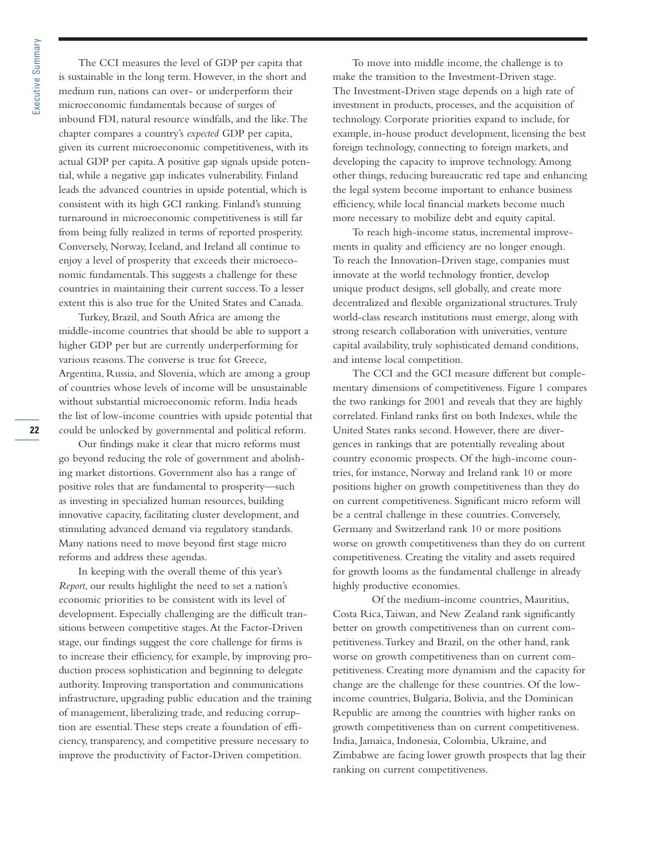The CCI measures the level of GDP per capita that is sustainable in the long term. However, in the short and medium run, nations can over- or underperform their microeconomic fundamentals because of surges of inbound FDI, natural resource windfalls, and the like.The chapter compares a country's *expected* GDP per capita, given its current microeconomic competitiveness, with its actual GDP per capita.A positive gap signals upside potential, while a negative gap indicates vulnerability. Finland leads the advanced countries in upside potential, which is consistent with its high GCI ranking. Finland's stunning turnaround in microeconomic competitiveness is still far from being fully realized in terms of reported prosperity. Conversely, Norway, Iceland, and Ireland all continue to enjoy a level of prosperity that exceeds their microeconomic fundamentals.This suggests a challenge for these countries in maintaining their current success.To a lesser extent this is also true for the United States and Canada.

Turkey, Brazil, and South Africa are among the middle-income countries that should be able to support a higher GDP per but are currently underperforming for various reasons.The converse is true for Greece, Argentina, Russia, and Slovenia, which are among a group of countries whose levels of income will be unsustainable without substantial microeconomic reform. India heads the list of low-income countries with upside potential that could be unlocked by governmental and political reform.

Our findings make it clear that micro reforms must go beyond reducing the role of government and abolishing market distortions. Government also has a range of positive roles that are fundamental to prosperity—such as investing in specialized human resources, building innovative capacity, facilitating cluster development, and stimulating advanced demand via regulatory standards. Many nations need to move beyond first stage micro reforms and address these agendas.

In keeping with the overall theme of this year's *Report*, our results highlight the need to set a nation's economic priorities to be consistent with its level of development. Especially challenging are the difficult transitions between competitive stages.At the Factor-Driven stage, our findings suggest the core challenge for firms is to increase their efficiency, for example, by improving production process sophistication and beginning to delegate authority. Improving transportation and communications infrastructure, upgrading public education and the training of management, liberalizing trade, and reducing corruption are essential.These steps create a foundation of efficiency, transparency, and competitive pressure necessary to improve the productivity of Factor-Driven competition.

To move into middle income, the challenge is to make the transition to the Investment-Driven stage. The Investment-Driven stage depends on a high rate of investment in products, processes, and the acquisition of technology. Corporate priorities expand to include, for example, in-house product development, licensing the best foreign technology, connecting to foreign markets, and developing the capacity to improve technology.Among other things, reducing bureaucratic red tape and enhancing the legal system become important to enhance business efficiency, while local financial markets become much more necessary to mobilize debt and equity capital.

To reach high-income status, incremental improvements in quality and efficiency are no longer enough. To reach the Innovation-Driven stage, companies must innovate at the world technology frontier, develop unique product designs, sell globally, and create more decentralized and flexible organizational structures.Truly world-class research institutions must emerge, along with strong research collaboration with universities, venture capital availability, truly sophisticated demand conditions, and intense local competition.

The CCI and the GCI measure different but complementary dimensions of competitiveness. Figure 1 compares the two rankings for 2001 and reveals that they are highly correlated. Finland ranks first on both Indexes, while the United States ranks second. However, there are divergences in rankings that are potentially revealing about country economic prospects. Of the high-income countries, for instance, Norway and Ireland rank 10 or more positions higher on growth competitiveness than they do on current competitiveness. Significant micro reform will be a central challenge in these countries. Conversely, Germany and Switzerland rank 10 or more positions worse on growth competitiveness than they do on current competitiveness. Creating the vitality and assets required for growth looms as the fundamental challenge in already highly productive economies.

Of the medium-income countries, Mauritius, Costa Rica,Taiwan, and New Zealand rank significantly better on growth competitiveness than on current competitiveness.Turkey and Brazil, on the other hand, rank worse on growth competitiveness than on current competitiveness. Creating more dynamism and the capacity for change are the challenge for these countries. Of the lowincome countries, Bulgaria, Bolivia, and the Dominican Republic are among the countries with higher ranks on growth competitiveness than on current competitiveness. India, Jamaica, Indonesia, Colombia, Ukraine, and Zimbabwe are facing lower growth prospects that lag their ranking on current competitiveness.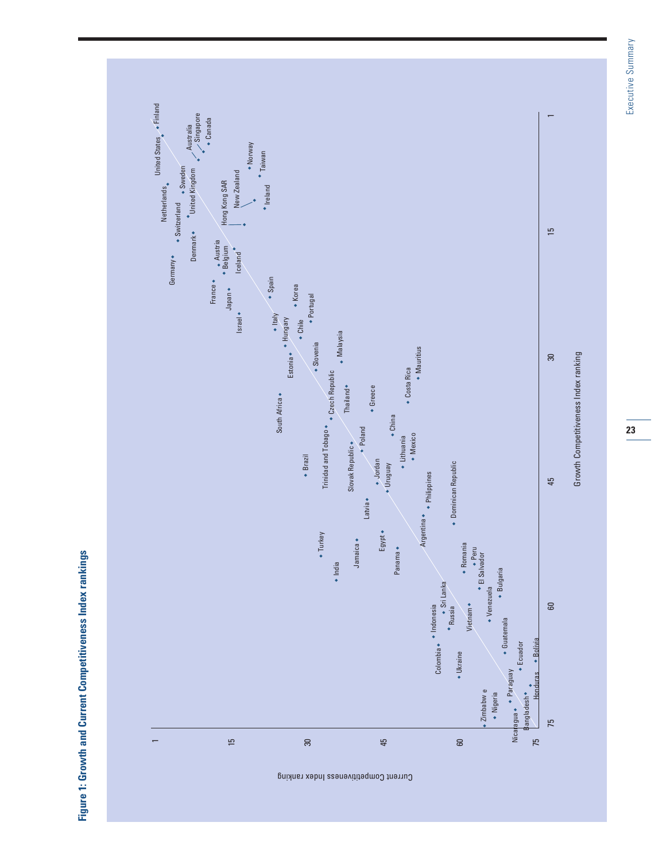Executive Summary **23**<br> **23** 



Figure 1: Growth and Current Competitiveness Index rankings **Figure 1: Growth and Current Competitiveness Index rankings** 23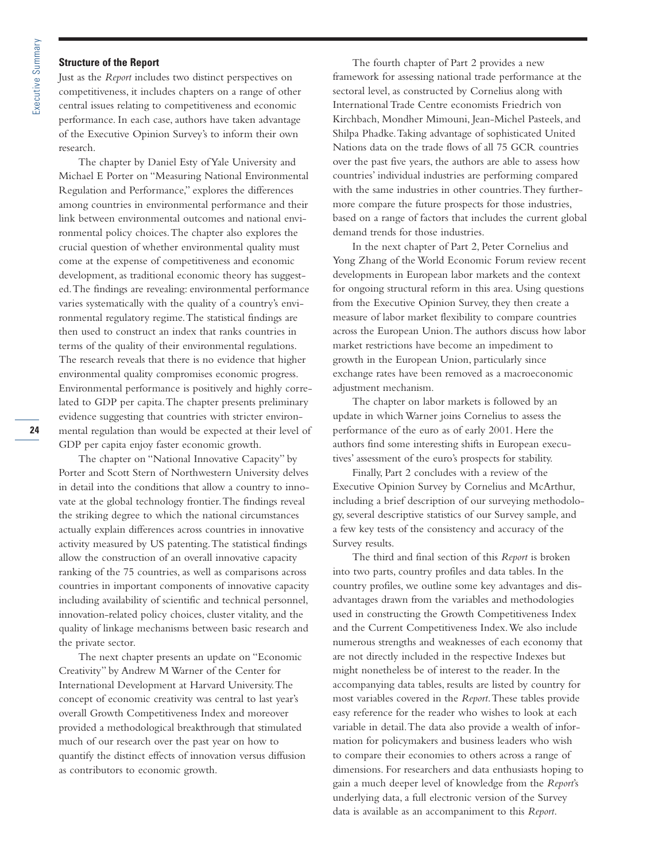### **Structure of the Report**

Just as the *Report* includes two distinct perspectives on competitiveness, it includes chapters on a range of other central issues relating to competitiveness and economic performance. In each case, authors have taken advantage of the Executive Opinion Survey's to inform their own research.

The chapter by Daniel Esty of Yale University and Michael E Porter on "Measuring National Environmental Regulation and Performance," explores the differences among countries in environmental performance and their link between environmental outcomes and national environmental policy choices.The chapter also explores the crucial question of whether environmental quality must come at the expense of competitiveness and economic development, as traditional economic theory has suggested.The findings are revealing: environmental performance varies systematically with the quality of a country's environmental regulatory regime.The statistical findings are then used to construct an index that ranks countries in terms of the quality of their environmental regulations. The research reveals that there is no evidence that higher environmental quality compromises economic progress. Environmental performance is positively and highly correlated to GDP per capita.The chapter presents preliminary evidence suggesting that countries with stricter environmental regulation than would be expected at their level of GDP per capita enjoy faster economic growth.

The chapter on "National Innovative Capacity" by Porter and Scott Stern of Northwestern University delves in detail into the conditions that allow a country to innovate at the global technology frontier.The findings reveal the striking degree to which the national circumstances actually explain differences across countries in innovative activity measured by US patenting.The statistical findings allow the construction of an overall innovative capacity ranking of the 75 countries, as well as comparisons across countries in important components of innovative capacity including availability of scientific and technical personnel, innovation-related policy choices, cluster vitality, and the quality of linkage mechanisms between basic research and the private sector.

The next chapter presents an update on "Economic Creativity" by Andrew M Warner of the Center for International Development at Harvard University.The concept of economic creativity was central to last year's overall Growth Competitiveness Index and moreover provided a methodological breakthrough that stimulated much of our research over the past year on how to quantify the distinct effects of innovation versus diffusion as contributors to economic growth.

The fourth chapter of Part 2 provides a new framework for assessing national trade performance at the sectoral level, as constructed by Cornelius along with International Trade Centre economists Friedrich von Kirchbach, Mondher Mimouni, Jean-Michel Pasteels, and Shilpa Phadke.Taking advantage of sophisticated United Nations data on the trade flows of all 75 GCR countries over the past five years, the authors are able to assess how countries' individual industries are performing compared with the same industries in other countries.They furthermore compare the future prospects for those industries, based on a range of factors that includes the current global demand trends for those industries.

In the next chapter of Part 2, Peter Cornelius and Yong Zhang of the World Economic Forum review recent developments in European labor markets and the context for ongoing structural reform in this area. Using questions from the Executive Opinion Survey, they then create a measure of labor market flexibility to compare countries across the European Union.The authors discuss how labor market restrictions have become an impediment to growth in the European Union, particularly since exchange rates have been removed as a macroeconomic adjustment mechanism.

The chapter on labor markets is followed by an update in which Warner joins Cornelius to assess the performance of the euro as of early 2001. Here the authors find some interesting shifts in European executives' assessment of the euro's prospects for stability.

Finally, Part 2 concludes with a review of the Executive Opinion Survey by Cornelius and McArthur, including a brief description of our surveying methodology, several descriptive statistics of our Survey sample, and a few key tests of the consistency and accuracy of the Survey results.

The third and final section of this *Report* is broken into two parts, country profiles and data tables. In the country profiles, we outline some key advantages and disadvantages drawn from the variables and methodologies used in constructing the Growth Competitiveness Index and the Current Competitiveness Index.We also include numerous strengths and weaknesses of each economy that are not directly included in the respective Indexes but might nonetheless be of interest to the reader. In the accompanying data tables, results are listed by country for most variables covered in the *Report*.These tables provide easy reference for the reader who wishes to look at each variable in detail.The data also provide a wealth of information for policymakers and business leaders who wish to compare their economies to others across a range of dimensions. For researchers and data enthusiasts hoping to gain a much deeper level of knowledge from the *Report*'s underlying data, a full electronic version of the Survey data is available as an accompaniment to this *Report*.